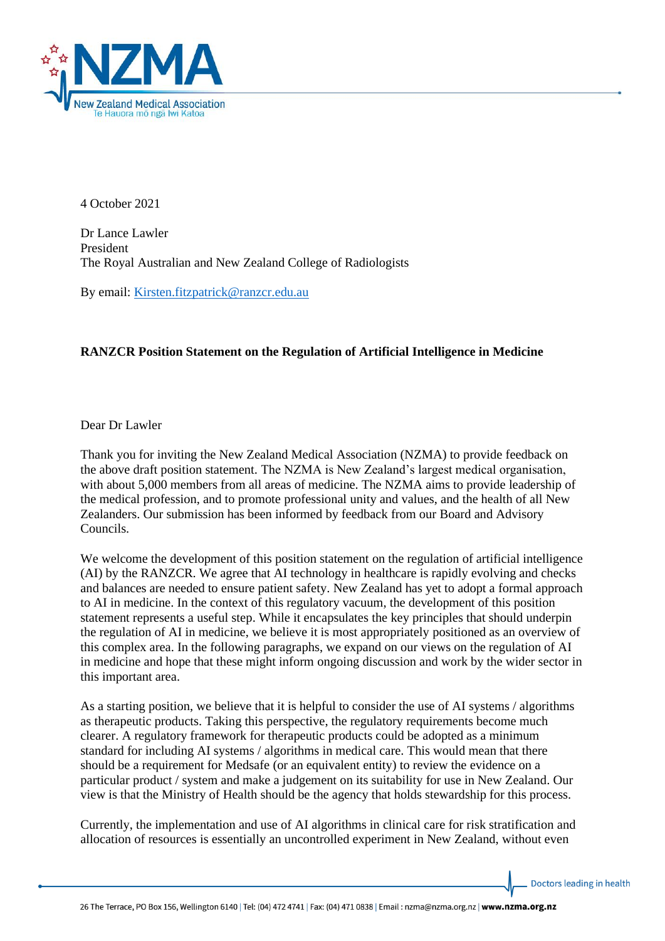

4 October 2021

Dr Lance Lawler President The Royal Australian and New Zealand College of Radiologists

By email: [Kirsten.fitzpatrick@ranzcr.edu.au](mailto:Kirsten.fitzpatrick@ranzcr.edu.au)

## **RANZCR Position Statement on the Regulation of Artificial Intelligence in Medicine**

Dear Dr Lawler

Thank you for inviting the New Zealand Medical Association (NZMA) to provide feedback on the above draft position statement. The NZMA is New Zealand's largest medical organisation, with about 5,000 members from all areas of medicine. The NZMA aims to provide leadership of the medical profession, and to promote professional unity and values, and the health of all New Zealanders. Our submission has been informed by feedback from our Board and Advisory Councils.

We welcome the development of this position statement on the regulation of artificial intelligence (AI) by the RANZCR. We agree that AI technology in healthcare is rapidly evolving and checks and balances are needed to ensure patient safety. New Zealand has yet to adopt a formal approach to AI in medicine. In the context of this regulatory vacuum, the development of this position statement represents a useful step. While it encapsulates the key principles that should underpin the regulation of AI in medicine, we believe it is most appropriately positioned as an overview of this complex area. In the following paragraphs, we expand on our views on the regulation of AI in medicine and hope that these might inform ongoing discussion and work by the wider sector in this important area.

As a starting position, we believe that it is helpful to consider the use of AI systems / algorithms as therapeutic products. Taking this perspective, the regulatory requirements become much clearer. A regulatory framework for therapeutic products could be adopted as a minimum standard for including AI systems / algorithms in medical care. This would mean that there should be a requirement for Medsafe (or an equivalent entity) to review the evidence on a particular product / system and make a judgement on its suitability for use in New Zealand. Our view is that the Ministry of Health should be the agency that holds stewardship for this process.

Currently, the implementation and use of AI algorithms in clinical care for risk stratification and allocation of resources is essentially an uncontrolled experiment in New Zealand, without even